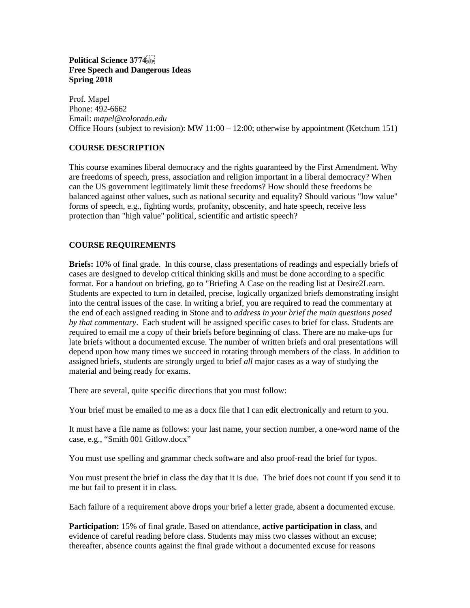# **Political Science 3774 Free Speech and Dangerous Ideas Spring 2018**

Prof. Mapel Phone: 492-6662 Email: *mapel@colorado.edu* Office Hours (subject to revision): MW 11:00 – 12:00; otherwise by appointment (Ketchum 151)

# **COURSE DESCRIPTION**

This course examines liberal democracy and the rights guaranteed by the First Amendment. Why are freedoms of speech, press, association and religion important in a liberal democracy? When can the US government legitimately limit these freedoms? How should these freedoms be balanced against other values, such as national security and equality? Should various "low value" forms of speech, e.g., fighting words, profanity, obscenity, and hate speech, receive less protection than "high value" political, scientific and artistic speech?

# **COURSE REQUIREMENTS**

**Briefs:** 10% of final grade. In this course, class presentations of readings and especially briefs of cases are designed to develop critical thinking skills and must be done according to a specific format. For a handout on briefing, go to "Briefing A Case on the reading list at Desire2Learn. Students are expected to turn in detailed, precise, logically organized briefs demonstrating insight into the central issues of the case. In writing a brief, you are required to read the commentary at the end of each assigned reading in Stone and to *address in your brief the main questions posed by that commentary*. Each student will be assigned specific cases to brief for class. Students are required to email me a copy of their briefs before beginning of class. There are no make-ups for late briefs without a documented excuse. The number of written briefs and oral presentations will depend upon how many times we succeed in rotating through members of the class. In addition to assigned briefs, students are strongly urged to brief *all* major cases as a way of studying the material and being ready for exams.

There are several, quite specific directions that you must follow:

Your brief must be emailed to me as a docx file that I can edit electronically and return to you.

It must have a file name as follows: your last name, your section number, a one-word name of the case, e.g., "Smith 001 Gitlow.docx"

You must use spelling and grammar check software and also proof-read the brief for typos.

You must present the brief in class the day that it is due. The brief does not count if you send it to me but fail to present it in class.

Each failure of a requirement above drops your brief a letter grade, absent a documented excuse.

**Participation:** 15% of final grade. Based on attendance, **active participation in class**, and evidence of careful reading before class. Students may miss two classes without an excuse; thereafter, absence counts against the final grade without a documented excuse for reasons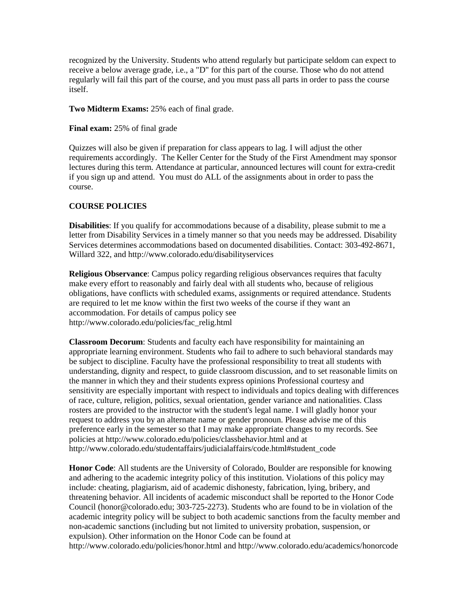recognized by the University. Students who attend regularly but participate seldom can expect to receive a below average grade, i.e., a "D" for this part of the course. Those who do not attend regularly will fail this part of the course, and you must pass all parts in order to pass the course itself.

**Two Midterm Exams:** 25% each of final grade.

**Final exam:** 25% of final grade

Quizzes will also be given if preparation for class appears to lag. I will adjust the other requirements accordingly. The Keller Center for the Study of the First Amendment may sponsor lectures during this term. Attendance at particular, announced lectures will count for extra-credit if you sign up and attend. You must do ALL of the assignments about in order to pass the course.

#### **COURSE POLICIES**

**Disabilities**: If you qualify for accommodations because of a disability, please submit to me a letter from Disability Services in a timely manner so that you needs may be addressed. Disability Services determines accommodations based on documented disabilities. Contact: 303-492-8671, Willard 322, and<http://www.colorado.edu/disabilityservices>

**Religious Observance**: Campus policy regarding religious observances requires that faculty make every effort to reasonably and fairly deal with all students who, because of religious obligations, have conflicts with scheduled exams, assignments or required attendance. Students are required to let me know within the first two weeks of the course if they want an accommodation. For details of campus policy see [http://www.colorado.edu/policies/fac\\_relig.html](http://www.colorado.edu/policies/fac_relig.html)

**Classroom Decorum**: Students and faculty each have responsibility for maintaining an appropriate learning environment. Students who fail to adhere to such behavioral standards may be subject to discipline. Faculty have the professional responsibility to treat all students with understanding, dignity and respect, to guide classroom discussion, and to set reasonable limits on the manner in which they and their students express opinions Professional courtesy and sensitivity are especially important with respect to individuals and topics dealing with differences of race, culture, religion, politics, sexual orientation, gender variance and nationalities. Class rosters are provided to the instructor with the student's legal name. I will gladly honor your request to address you by an alternate name or gender pronoun. Please advise me of this preference early in the semester so that I may make appropriate changes to my records. See policies at<http://www.colorado.edu/policies/classbehavior.html> and at [http://www.colorado.edu/studentaffairs/judicialaffairs/code.html#student\\_code](http://www.colorado.edu/studentaffairs/judicialaffairs/code.html#student_code)

**Honor Code**: All students are the University of Colorado, Boulder are responsible for knowing and adhering to the academic integrity policy of this institution. Violations of this policy may include: cheating, plagiarism, aid of academic dishonesty, fabrication, lying, bribery, and threatening behavior. All incidents of academic misconduct shall be reported to the Honor Code Council (honor@colorado.edu; 303-725-2273). Students who are found to be in violation of the academic integrity policy will be subject to both academic sanctions from the faculty member and non-academic sanctions (including but not limited to university probation, suspension, or expulsion). Other information on the Honor Code can be found at <http://www.colorado.edu/policies/honor.html> and<http://www.colorado.edu/academics/honorcode>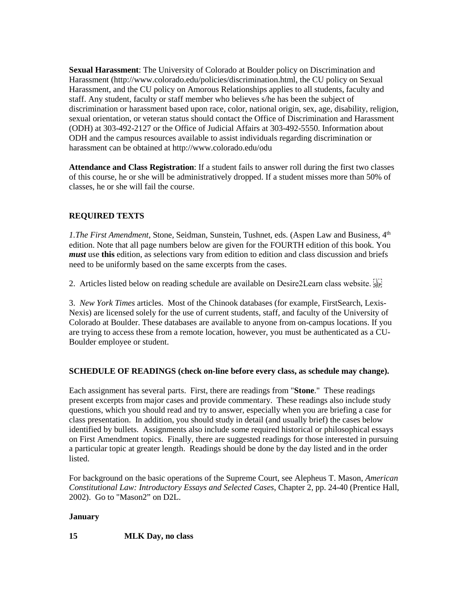**Sexual Harassment**: The University of Colorado at Boulder policy on Discrimination and Harassment [\(http://www.colorado.edu/policies/discrimination.html,](http://www.colorado.edu/policies/discrimination.html) the CU policy on Sexual Harassment, and the CU policy on Amorous Relationships applies to all students, faculty and staff. Any student, faculty or staff member who believes s/he has been the subject of discrimination or harassment based upon race, color, national origin, sex, age, disability, religion, sexual orientation, or veteran status should contact the Office of Discrimination and Harassment (ODH) at 303-492-2127 or the Office of Judicial Affairs at 303-492-5550. Information about ODH and the campus resources available to assist individuals regarding discrimination or harassment can be obtained a[t http://www.colorado.edu/odu](http://www.colorado.edu/odu)

**Attendance and Class Registration**: If a student fails to answer roll during the first two classes of this course, he or she will be administratively dropped. If a student misses more than 50% of classes, he or she will fail the course.

# **REQUIRED TEXTS**

*1.The First Amendment, Stone, Seidman, Sunstein, Tushnet, eds. (Aspen Law and Business, 4*<sup>th</sup> edition. Note that all page numbers below are given for the FOURTH edition of this book. You *must* use **this** edition, as selections vary from edition to edition and class discussion and briefs need to be uniformly based on the same excerpts from the cases.

2. Articles listed below on reading schedule are available on Desire2Learn class website.

3. *New York Times* articles. Most of the Chinook databases (for example, FirstSearch, Lexis-Nexis) are licensed solely for the use of current students, staff, and faculty of the University of Colorado at Boulder. These databases are available to anyone from on-campus locations. If you are trying to access these from a remote location, however, you must be authenticated as a CU-Boulder employee or student.

#### **SCHEDULE OF READINGS (check on-line before every class, as schedule may change).**

Each assignment has several parts. First, there are readings from "**Stone**." These readings present excerpts from major cases and provide commentary. These readings also include study questions, which you should read and try to answer, especially when you are briefing a case for class presentation. In addition, you should study in detail (and usually brief) the cases below identified by bullets. Assignments also include some required historical or philosophical essays on First Amendment topics. Finally, there are suggested readings for those interested in pursuing a particular topic at greater length. Readings should be done by the day listed and in the order listed.

For background on the basic operations of the Supreme Court, see Alepheus T. Mason, *American Constitutional Law: Introductory Essays and Selected Cases*, Chapter 2, pp. 24-40 (Prentice Hall, 2002). Go to "Mason2" on D2L.

#### **January**

#### **15 MLK Day, no class**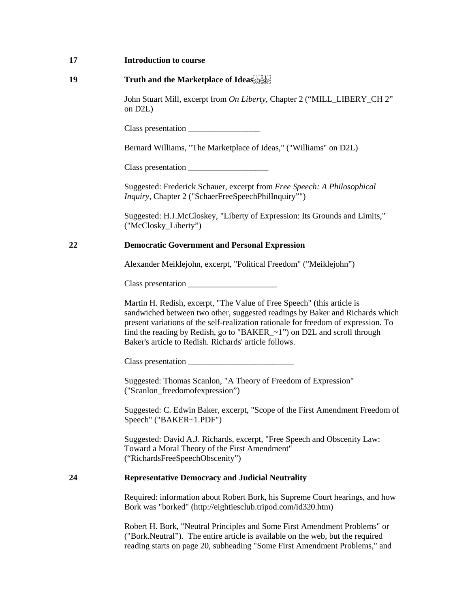### **19 Truth and the Marketplace of Ideas**

John Stuart Mill, excerpt from *On Liberty*, Chapter 2 ("MILL\_LIBERY\_CH 2" on D2L)

Class presentation

Bernard Williams, "The Marketplace of Ideas," ("Williams" on D2L)

Class presentation

Suggested: Frederick Schauer, excerpt from *Free Speech: A Philosophical Inquiry*, Chapter 2 ("SchaerFreeSpeechPhilInquiry"")

Suggested: H.J.McCloskey, "Liberty of Expression: Its Grounds and Limits," ("McClosky\_Liberty")

### **22 Democratic Government and Personal Expression**

Alexander Meiklejohn, excerpt, "Political Freedom" ("Meiklejohn")

Class presentation \_\_\_\_\_\_\_\_\_\_\_\_\_\_\_\_\_\_\_\_\_

Martin H. Redish, excerpt, "The Value of Free Speech" (this article is sandwiched between two other, suggested readings by Baker and Richards which present variations of the self-realization rationale for freedom of expression. To find the reading by Redish, go to "BAKER\_~1") on D2L and scroll through Baker's article to Redish. Richards' article follows.

Class presentation \_\_\_\_\_\_\_\_\_\_\_\_\_\_\_\_\_\_\_\_\_\_\_\_\_

Suggested: Thomas Scanlon, "A Theory of Freedom of Expression" ("Scanlon\_freedomofexpression")

Suggested: C. Edwin Baker, excerpt, "Scope of the First Amendment Freedom of Speech" ("BAKER~1.PDF")

Suggested: David A.J. Richards, excerpt, "Free Speech and Obscenity Law: Toward a Moral Theory of the First Amendment" ("RichardsFreeSpeechObscenity")

### **24 Representative Democracy and Judicial Neutrality**

Required: information about Robert Bork, his Supreme Court hearings, and how Bork was "borked" [\(http://eightiesclub.tripod.com/id320.htm\)](http://eightiesclub.tripod.com/id320.htm)

Robert H. Bork, "Neutral Principles and Some First Amendment Problems" or ("Bork.Neutral"). The entire article is available on the web, but the required reading starts on page 20, subheading "Some First Amendment Problems," and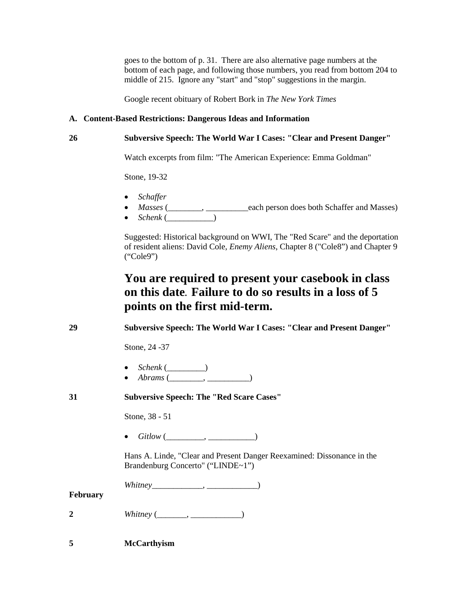goes to the bottom of p. 31. There are also alternative page numbers at the bottom of each page, and following those numbers, you read from bottom 204 to middle of 215. Ignore any "start" and "stop" suggestions in the margin.

Google recent obituary of Robert Bork in *The New York Times*

# **A. Content-Based Restrictions: Dangerous Ideas and Information**

# **26 Subversive Speech: The World War I Cases: "Clear and Present Danger"**

Watch excerpts from film: "The American Experience: Emma Goldman"

Stone, 19-32

- *Schaffer*
- *Masses* (\_\_\_\_\_\_\_\_, \_\_\_\_\_\_\_\_\_\_each person does both Schaffer and Masses)
- $Schenk$  ( $\qquad$

Suggested: Historical background on WWI, The "Red Scare" and the deportation of resident aliens: David Cole, *Enemy Aliens*, Chapter 8 ("Cole8") and Chapter 9 ("Cole9")

# **You are required to present your casebook in class on this date. Failure to do so results in a loss of 5 points on the first mid-term.**

**29 Subversive Speech: The World War I Cases: "Clear and Present Danger"**

Stone, 24 -37

- *Schenk* (\_\_\_\_\_\_\_\_\_)
- *Abrams* (\_\_\_\_\_\_\_\_, \_\_\_\_\_\_\_\_\_\_)

# **31 Subversive Speech: The "Red Scare Cases"**

Stone, 38 - 51

• *Gitlow* (\_\_\_\_\_\_\_\_\_, \_\_\_\_\_\_\_\_\_\_\_)

Hans A. Linde, "Clear and Present Danger Reexamined: Dissonance in the Brandenburg Concerto" ("LINDE~1")

*Whitney*\_\_\_\_\_\_\_\_\_\_\_\_, \_\_\_\_\_\_\_\_\_\_\_\_)

**February**

| ↗<br>Whitney |  |
|--------------|--|
|--------------|--|

**5 McCarthyism**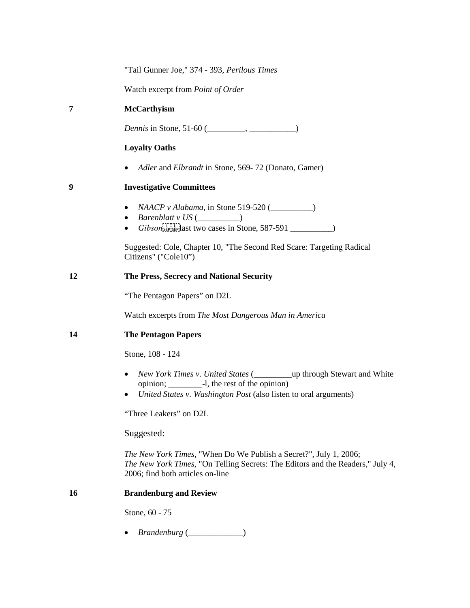"Tail Gunner Joe," 374 - 393, *Perilous Times*

Watch excerpt from *Point of Order*

# **7 McCarthyism**

*Dennis* in Stone, 51-60 (\_\_\_\_\_\_\_, \_\_\_\_\_\_\_\_\_)

# **Loyalty Oaths**

• *Adler* and *Elbrandt* in Stone, 569- 72 (Donato, Gamer)

### **9 Investigative Committees**

- *NAACP v Alabama*, in Stone 519-520 (
- *Barenblatt v US* (\_\_\_\_\_\_\_\_\_\_)
- $\bullet$  *Gibson*<sup>[17]</sup>[17] ast two cases in Stone, 587-591  $\_\_$

Suggested: Cole, Chapter 10, "The Second Red Scare: Targeting Radical Citizens" ("Cole10")

#### **12 The Press, Secrecy and National Security**

"The Pentagon Papers" on D2L

Watch excerpts from *The Most Dangerous Man in America*

### **14 The Pentagon Papers**

Stone, 108 - 124

- *New York Times v. United States* (\_\_\_\_\_\_\_\_\_up through Stewart and White opinion; \_\_\_\_\_\_\_\_-l, the rest of the opinion)
- *United States v. Washington Post* (also listen to oral arguments)

"Three Leakers" on D2L

Suggested:

*The New York Times*[, "When Do We Publish a Secret?", July 1, 2006;](http://proquest.umi.com/pqdweb?index=8&did=1070108241&SrchMode=1&sid=2&Fmt=3&VInst=PROD&VType=PQD&RQT=309&VName=PQD&TS=1152393804&clientId=56281) *The New York Times*[, "On Telling Secrets: The Editors and the Readers," July 4,](http://proquest.umi.com/pqdweb?index=0&did=1071106201&SrchMode=1&sid=1&Fmt=3&VInst=PROD&VType=PQD&RQT=309&VName=PQD&TS=1152394129&clientId=56281)  [2006;](http://proquest.umi.com/pqdweb?index=0&did=1071106201&SrchMode=1&sid=1&Fmt=3&VInst=PROD&VType=PQD&RQT=309&VName=PQD&TS=1152394129&clientId=56281) find both articles on-line

#### **16 Brandenburg and Review**

Stone, 60 - 75

• *Brandenburg* (\_\_\_\_\_\_\_\_\_\_\_\_\_)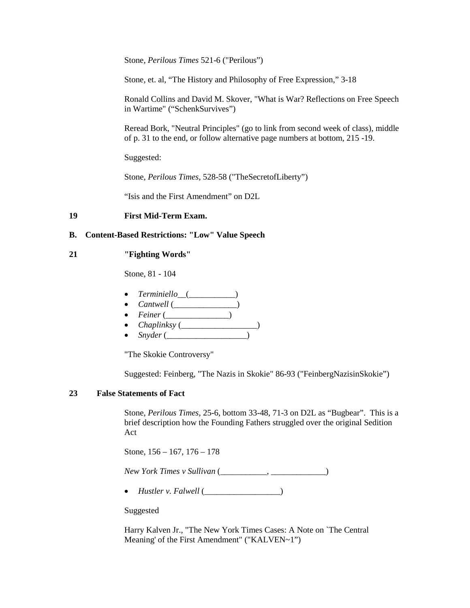Stone, *Perilous Times* 521-6 ("Perilous")

Stone, et. al, "The History and Philosophy of Free Expression," 3-18

Ronald Collins and David M. Skover, "What is War? Reflections on Free Speech in Wartime" ("SchenkSurvives")

Reread Bork, "Neutral Principles" (go to link from second week of class), middle of p. 31 to the end, or follow alternative page numbers at bottom, 215 -19.

Suggested:

Stone, *Perilous Times*, 528-58 ("TheSecretofLiberty")

"Isis and the First Amendment" on D2L

#### **19 First Mid-Term Exam.**

#### **B. Content-Based Restrictions: "Low" Value Speech**

#### **21 "Fighting Words"**

Stone, 81 - 104

- *Terminiello*\_\_(\_\_\_\_\_\_\_\_\_\_\_)
- *Cantwell* (\_\_\_\_\_\_\_\_\_\_\_\_\_)
- *Feiner* (\_\_\_\_\_\_\_\_\_\_\_\_\_\_\_)
- *Chaplinksy* (\_\_\_\_\_\_\_\_\_\_\_\_\_\_\_\_\_\_)
- *Snyder* (\_\_\_\_\_\_\_\_\_\_\_\_\_\_\_\_\_\_\_)

"The Skokie Controversy"

Suggested: Feinberg, "The Nazis in Skokie" 86-93 ("FeinbergNazisinSkokie")

### **23 False Statements of Fact**

Stone, *Perilous Times*, 25-6, bottom 33-48, 71-3 on D2L as "Bugbear". This is a brief description how the Founding Fathers struggled over the original Sedition Act

Stone, 156 – 167, 176 – 178

*New York Times v Sullivan* (\_\_\_\_\_\_\_\_\_\_\_, \_\_\_\_\_\_\_\_\_\_\_\_\_)

• *Hustler v. Falwell* (\_\_\_\_\_\_\_\_\_\_\_\_\_\_\_\_)

Suggested

Harry Kalven Jr., "The New York Times Cases: A Note on `The Central Meaning' of the First Amendment" ("KALVEN~1")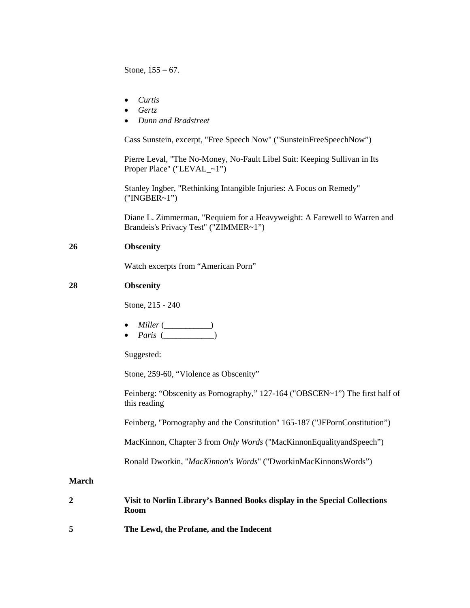Stone, 155 – 67.

- *Curtis*
- *Gertz*
- *Dunn and Bradstreet*

Cass Sunstein, excerpt, "Free Speech Now" ("SunsteinFreeSpeechNow")

Pierre Leval, "The No-Money, No-Fault Libel Suit: Keeping Sullivan in Its Proper Place" ("LEVAL\_~1")

Stanley Ingber, "Rethinking Intangible Injuries: A Focus on Remedy" ("INGBER~1")

Diane L. Zimmerman, "Requiem for a Heavyweight: A Farewell to Warren and Brandeis's Privacy Test" ("ZIMMER~1")

#### **26 Obscenity**

Watch excerpts from "American Porn"

### **28 Obscenity**

Stone, 215 - 240

- *Miller* (\_\_\_\_\_\_\_\_\_)
- $Paris$  (  $)$

Suggested:

Stone, 259-60, "Violence as Obscenity"

Feinberg: "Obscenity as Pornography," 127-164 ("OBSCEN~1") The first half of this reading

Feinberg, "Pornography and the Constitution" 165-187 ("JFPornConstitution")

MacKinnon, Chapter 3 from *Only Words* ("MacKinnonEqualityandSpeech")

Ronald Dworkin, "*MacKinnon's Words*" ("DworkinMacKinnonsWords")

### **March**

|   | Visit to Norlin Library's Banned Books display in the Special Collections<br>Room |
|---|-----------------------------------------------------------------------------------|
| 5 | The Lewd, the Profane, and the Indecent                                           |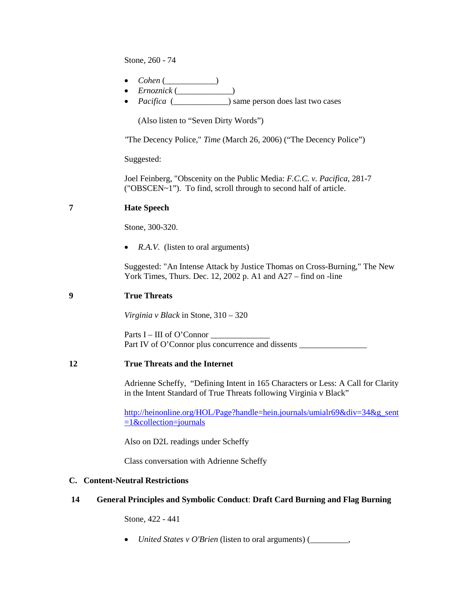Stone, 260 - 74

- *Cohen* (\_\_\_\_\_\_\_\_\_\_\_\_)
- *Ernoznick* (\_\_\_\_\_\_\_\_\_\_\_\_\_)
- *Pacifica* ( $\qquad$ ) same person does last two cases

(Also listen to "Seven Dirty Words")

*"*The Decency Police," *Time* (March 26, 2006) ("The Decency Police")

Suggested:

Joel Feinberg, "Obscenity on the Public Media: *F.C.C. v. Pacifica*, 281-7 ("OBSCEN~1"). To find, scroll through to second half of article.

# **7 Hate Speech**

Stone, 300-320.

• *R.A.V.* (listen to oral arguments)

Suggested: ["An Intense Attack by Justice Thomas on Cross-Burning,](http://proquest.umi.com/pqdweb?did=262825501&sid=1&Fmt=3&clientId=56281&RQT=309&VName=PQD)" The New York Times, Thurs. Dec. 12, 2002 p. A1 and A27 – find on -line

#### **9 True Threats**

*Virginia v Black* in Stone, 310 – 320

Parts  $I - III$  of O'Connor Part IV of O'Connor plus concurrence and dissents

#### **12 True Threats and the Internet**

Adrienne Scheffy, "Defining Intent in 165 Characters or Less: A Call for Clarity in the Intent Standard of True Threats following Virginia v Black"

[http://heinonline.org/HOL/Page?handle=hein.journals/umialr69&div=34&g\\_sent](http://heinonline.org/HOL/Page?handle=hein.journals/umialr69&div=34&g_sent=1&collection=journals)  $=1$ &collection=journals

Also on D2L readings under Scheffy

Class conversation with Adrienne Scheffy

#### **C. Content-Neutral Restrictions**

#### **14 General Principles and Symbolic Conduct**: **Draft Card Burning and Flag Burning**

Stone, 422 - 441

• *United States v O'Brien* (listen to oral arguments) (\_\_\_\_\_\_\_\_\_,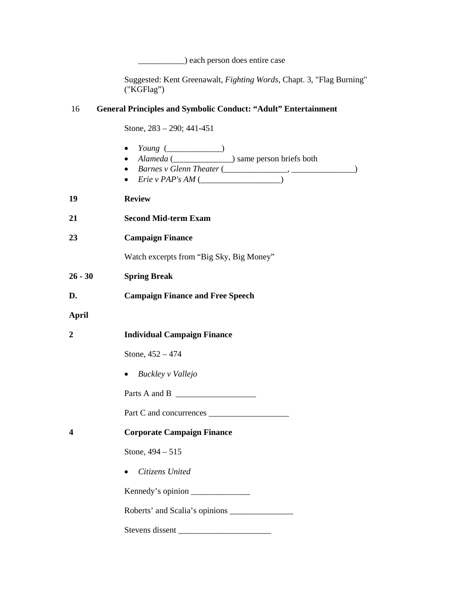\_\_\_\_\_\_\_\_\_\_\_) each person does entire case

Suggested: Kent Greenawalt, *Fighting Words*, Chapt. 3, "Flag Burning" ("KGFlag")

#### 16 **General Principles and Symbolic Conduct: "Adult" Entertainment**

Stone, 283 – 290; 441-451

- *Young* (\_\_\_\_\_\_\_\_\_\_\_\_\_) • *Alameda* (\_\_\_\_\_\_\_\_\_\_\_\_\_\_) same person briefs both
	- *Barnes v Glenn Theater* (\_\_\_\_\_\_\_\_\_\_\_\_\_\_\_, \_\_\_\_\_\_\_\_\_\_\_\_\_\_\_)
	- *Erie v PAP's AM* (\_\_\_\_\_\_\_\_\_\_\_\_\_\_\_\_\_\_\_)

| 19 | <b>Review</b> |  |
|----|---------------|--|
|    |               |  |

- **21 Second Mid-term Exam**
- **23 Campaign Finance**

Watch excerpts from "Big Sky, Big Money"

- **26 - 30 Spring Break**
- **D. Campaign Finance and Free Speech**

**April** 

| <b>Individual Campaign Finance</b> |  |
|------------------------------------|--|
|                                    |  |

Stone, 452 – 474

• *Buckley v Vallejo*

Parts A and B

Part C and concurrences \_\_\_\_\_\_\_\_\_\_\_\_\_\_\_\_\_\_\_

**4 Corporate Campaign Finance**

Stone, 494 – 515

• *Citizens United* 

Kennedy's opinion \_\_\_\_\_\_\_\_\_\_\_\_\_\_

Roberts' and Scalia's opinions \_\_\_\_\_\_\_\_\_\_\_\_\_\_\_

Stevens dissent \_\_\_\_\_\_\_\_\_\_\_\_\_\_\_\_\_\_\_\_\_\_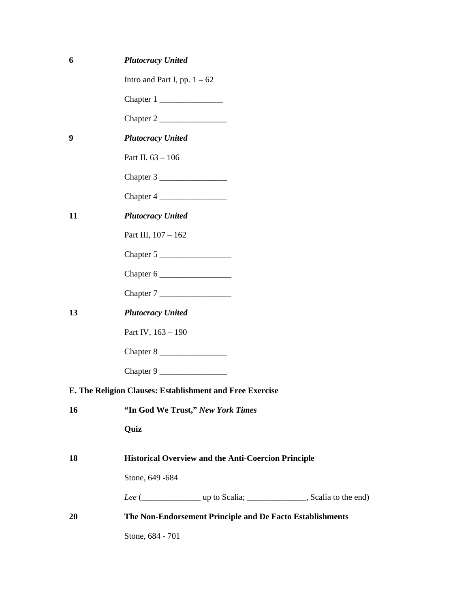| 6  | <b>Plutocracy United</b>          |                                                            |  |
|----|-----------------------------------|------------------------------------------------------------|--|
|    | Intro and Part I, pp. $1 - 62$    |                                                            |  |
|    |                                   |                                                            |  |
|    |                                   |                                                            |  |
| 9  | <b>Plutocracy United</b>          |                                                            |  |
|    | Part II. 63 - 106                 |                                                            |  |
|    |                                   |                                                            |  |
|    |                                   |                                                            |  |
| 11 | <b>Plutocracy United</b>          |                                                            |  |
|    | Part III, 107 - 162               |                                                            |  |
|    | Chapter 5                         |                                                            |  |
|    |                                   |                                                            |  |
|    |                                   |                                                            |  |
| 13 | <b>Plutocracy United</b>          |                                                            |  |
|    | Part IV, 163 - 190                |                                                            |  |
|    |                                   |                                                            |  |
|    | Chapter 9                         |                                                            |  |
|    |                                   | E. The Religion Clauses: Establishment and Free Exercise   |  |
| 16 | "In God We Trust," New York Times |                                                            |  |
|    | Quiz                              |                                                            |  |
| 18 |                                   | <b>Historical Overview and the Anti-Coercion Principle</b> |  |
|    | Stone, 649 - 684                  |                                                            |  |
|    |                                   |                                                            |  |
| 20 |                                   | The Non-Endorsement Principle and De Facto Establishments  |  |
|    | Stone, 684 - 701                  |                                                            |  |